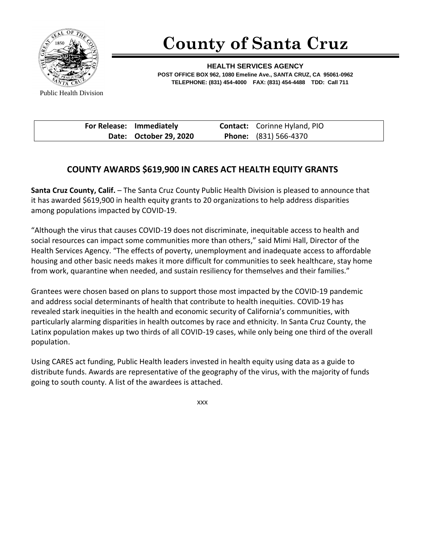

## **County of Santa Cruz**

**HEALTH SERVICES AGENCY POST OFFICE BOX 962, 1080 Emeline Ave., SANTA CRUZ, CA 95061-0962 TELEPHONE: (831) 454-4000 FAX: (831) 454-4488 TDD: Call 711**

Public Health Division

| For Release: Immediately | <b>Contact:</b> Corinne Hyland, PIO |
|--------------------------|-------------------------------------|
| Date: October 29, 2020   | <b>Phone:</b> (831) 566-4370        |

## **COUNTY AWARDS \$619,900 IN CARES ACT HEALTH EQUITY GRANTS**

**Santa Cruz County, Calif.** – The Santa Cruz County Public Health Division is pleased to announce that it has awarded \$619,900 in health equity grants to 20 organizations to help address disparities among populations impacted by COVID-19.

"Although the virus that causes COVID-19 does not discriminate, inequitable access to health and social resources can impact some communities more than others," said Mimi Hall, Director of the Health Services Agency. "The effects of poverty, unemployment and inadequate access to affordable housing and other basic needs makes it more difficult for communities to seek healthcare, stay home from work, quarantine when needed, and sustain resiliency for themselves and their families."

Grantees were chosen based on plans to support those most impacted by the COVID-19 pandemic and address social determinants of health that contribute to health inequities. COVID-19 has revealed stark inequities in the health and economic security of California's communities, with particularly alarming disparities in health outcomes by race and ethnicity. In Santa Cruz County, the Latinx population makes up two thirds of all COVID-19 cases, while only being one third of the overall population.

Using CARES act funding, Public Health leaders invested in health equity using data as a guide to distribute funds. Awards are representative of the geography of the virus, with the majority of funds going to south county. A list of the awardees is attached.

xxx